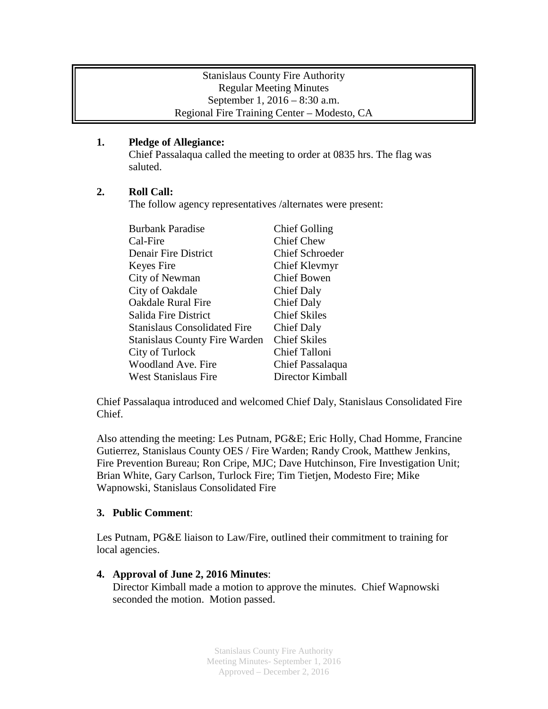# Stanislaus County Fire Authority Regular Meeting Minutes September 1, 2016 – 8:30 a.m. Regional Fire Training Center – Modesto, CA

# **1. Pledge of Allegiance:**

Chief Passalaqua called the meeting to order at 0835 hrs. The flag was saluted.

## **2. Roll Call:**

The follow agency representatives /alternates were present:

| <b>Burbank Paradise</b>              | <b>Chief Golling</b>   |
|--------------------------------------|------------------------|
| Cal-Fire                             | <b>Chief Chew</b>      |
| <b>Denair Fire District</b>          | <b>Chief Schroeder</b> |
| Keyes Fire                           | Chief Klevmyr          |
| City of Newman                       | <b>Chief Bowen</b>     |
| City of Oakdale                      | Chief Daly             |
| <b>Oakdale Rural Fire</b>            | <b>Chief Daly</b>      |
| Salida Fire District                 | <b>Chief Skiles</b>    |
| <b>Stanislaus Consolidated Fire</b>  | Chief Daly             |
| <b>Stanislaus County Fire Warden</b> | <b>Chief Skiles</b>    |
| City of Turlock                      | Chief Talloni          |
| Woodland Ave. Fire                   | Chief Passalaqua       |
| <b>West Stanislaus Fire</b>          | Director Kimball       |

Chief Passalaqua introduced and welcomed Chief Daly, Stanislaus Consolidated Fire Chief.

Also attending the meeting: Les Putnam, PG&E; Eric Holly, Chad Homme, Francine Gutierrez, Stanislaus County OES / Fire Warden; Randy Crook, Matthew Jenkins, Fire Prevention Bureau; Ron Cripe, MJC; Dave Hutchinson, Fire Investigation Unit; Brian White, Gary Carlson, Turlock Fire; Tim Tietjen, Modesto Fire; Mike Wapnowski, Stanislaus Consolidated Fire

#### **3. Public Comment**:

Les Putnam, PG&E liaison to Law/Fire, outlined their commitment to training for local agencies.

# **4. Approval of June 2, 2016 Minutes**:

Director Kimball made a motion to approve the minutes. Chief Wapnowski seconded the motion. Motion passed.

> Stanislaus County Fire Authority Meeting Minutes- September 1, 2016 Approved – December 2, 2016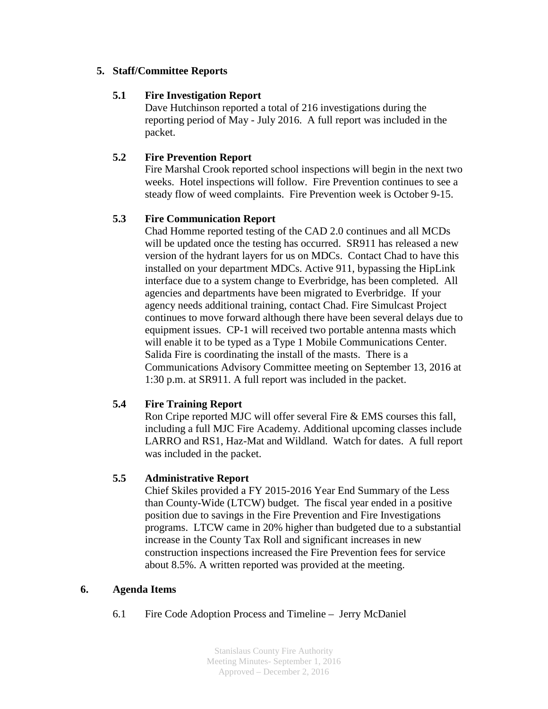## **5. Staff/Committee Reports**

### **5.1 Fire Investigation Report**

Dave Hutchinson reported a total of 216 investigations during the reporting period of May - July 2016. A full report was included in the packet.

## **5.2 Fire Prevention Report**

Fire Marshal Crook reported school inspections will begin in the next two weeks. Hotel inspections will follow. Fire Prevention continues to see a steady flow of weed complaints. Fire Prevention week is October 9-15.

## **5.3 Fire Communication Report**

Chad Homme reported testing of the CAD 2.0 continues and all MCDs will be updated once the testing has occurred. SR911 has released a new version of the hydrant layers for us on MDCs. Contact Chad to have this installed on your department MDCs. Active 911, bypassing the HipLink interface due to a system change to Everbridge, has been completed. All agencies and departments have been migrated to Everbridge. If your agency needs additional training, contact Chad. Fire Simulcast Project continues to move forward although there have been several delays due to equipment issues. CP-1 will received two portable antenna masts which will enable it to be typed as a Type 1 Mobile Communications Center. Salida Fire is coordinating the install of the masts. There is a Communications Advisory Committee meeting on September 13, 2016 at 1:30 p.m. at SR911. A full report was included in the packet.

#### **5.4 Fire Training Report**

Ron Cripe reported MJC will offer several Fire & EMS courses this fall, including a full MJC Fire Academy. Additional upcoming classes include LARRO and RS1, Haz-Mat and Wildland. Watch for dates. A full report was included in the packet.

#### **5.5 Administrative Report**

Chief Skiles provided a FY 2015-2016 Year End Summary of the Less than County-Wide (LTCW) budget. The fiscal year ended in a positive position due to savings in the Fire Prevention and Fire Investigations programs. LTCW came in 20% higher than budgeted due to a substantial increase in the County Tax Roll and significant increases in new construction inspections increased the Fire Prevention fees for service about 8.5%. A written reported was provided at the meeting.

# **6. Agenda Items**

6.1 Fire Code Adoption Process and Timeline – Jerry McDaniel

Stanislaus County Fire Authority Meeting Minutes- September 1, 2016 Approved – December 2, 2016